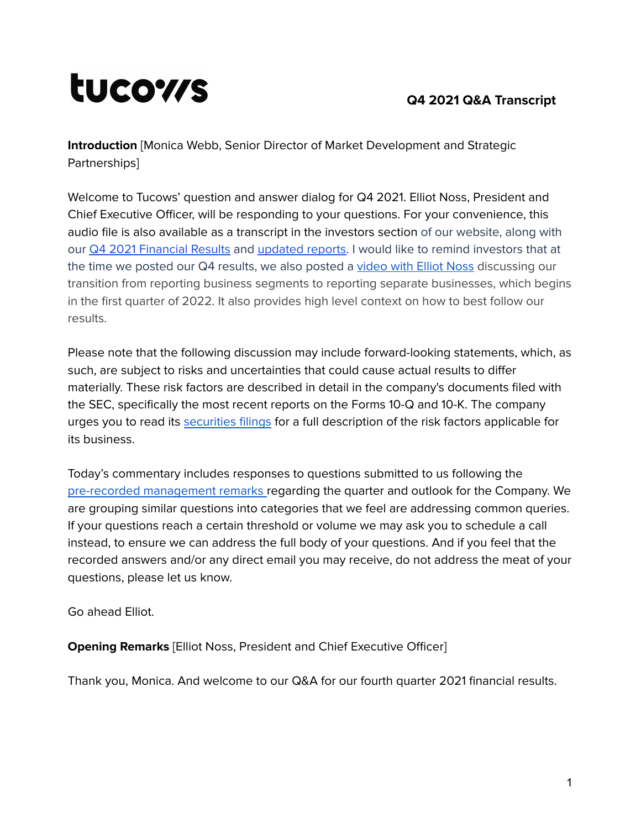# tucows

# **Q4 2021 Q&A Transcript**

**Introduction** [Monica Webb, Senior Director of Market Development and Strategic Partnerships]

Welcome to Tucows' question and answer dialog for Q4 2021. Elliot Noss, President and Chief Executive Officer, will be responding to your questions. For your convenience, this audio file is also available as a transcript in the investors section of our website, along with our **Q4 2021 [Financial](https://tucows.com/investors/financials/) Results and [updated](https://tucows.com/investors/investor-videos/) reports. I** would like to remind investors that at the time we posted our Q4 results, we also posted a [video](https://vimeo.com/675592141/6416c98c10) with Elliot Noss discussing our transition from reporting business segments to reporting separate businesses, which begins in the first quarter of 2022. It also provides high level context on how to best follow our results.

Please note that the following discussion may include forward-looking statements, which, as such, are subject to risks and uncertainties that could cause actual results to differ materially. These risk factors are described in detail in the company's documents filed with the SEC, specifically the most recent reports on the Forms 10-Q and 10-K. The company urges you to read its [securities](https://www.tucows.com/investors/filings/) filings for a full description of the risk factors applicable for its business.

Today's commentary includes responses to questions submitted to us following the pre-recorded [management](https://tucows.com/wp-content/uploads/2022/02/2021-Q4-TCX-results-management-remarks-transcript.pdf) remarks [r](https://tucows.com/wp-content/uploads/2021/11/2021-Q3-TCX-results-management-remarks-transcript.pdf)egarding the quarter and outlook for the Company. We are grouping similar questions into categories that we feel are addressing common queries. If your questions reach a certain threshold or volume we may ask you to schedule a call instead, to ensure we can address the full body of your questions. And if you feel that the recorded answers and/or any direct email you may receive, do not address the meat of your questions, please let us know.

Go ahead Elliot.

**Opening Remarks** [Elliot Noss, President and Chief Executive Officer]

Thank you, Monica. And welcome to our Q&A for our fourth quarter 2021 financial results.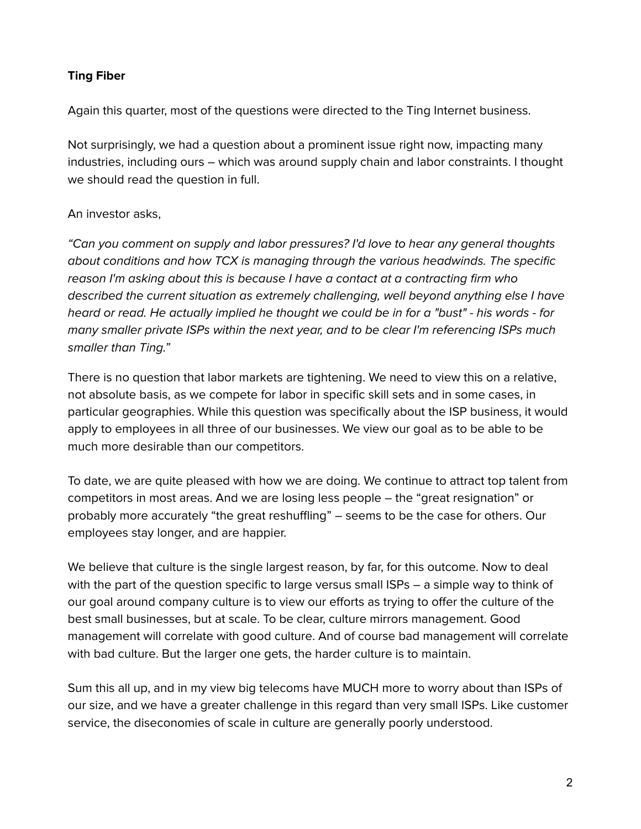## **Ting Fiber**

Again this quarter, most of the questions were directed to the Ting Internet business.

Not surprisingly, we had a question about a prominent issue right now, impacting many industries, including ours – which was around supply chain and labor constraints. I thought we should read the question in full.

### An investor asks,

"Can you comment on supply and labor pressures? I'd love to hear any general thoughts about conditions and how TCX is managing through the various headwinds. The specific reason I'm asking about this is because I have a contact at a contracting firm who described the current situation as extremely challenging, well beyond anything else I have heard or read. He actually implied he thought we could be in for a "bust" - his words - for many smaller private ISPs within the next year, and to be clear I'm referencing ISPs much smaller than Ting."

There is no question that labor markets are tightening. We need to view this on a relative, not absolute basis, as we compete for labor in specific skill sets and in some cases, in particular geographies. While this question was specifically about the ISP business, it would apply to employees in all three of our businesses. We view our goal as to be able to be much more desirable than our competitors.

To date, we are quite pleased with how we are doing. We continue to attract top talent from competitors in most areas. And we are losing less people – the "great resignation" or probably more accurately "the great reshuffling" – seems to be the case for others. Our employees stay longer, and are happier.

We believe that culture is the single largest reason, by far, for this outcome. Now to deal with the part of the question specific to large versus small ISPs – a simple way to think of our goal around company culture is to view our efforts as trying to offer the culture of the best small businesses, but at scale. To be clear, culture mirrors management. Good management will correlate with good culture. And of course bad management will correlate with bad culture. But the larger one gets, the harder culture is to maintain.

Sum this all up, and in my view big telecoms have MUCH more to worry about than ISPs of our size, and we have a greater challenge in this regard than very small ISPs. Like customer service, the diseconomies of scale in culture are generally poorly understood.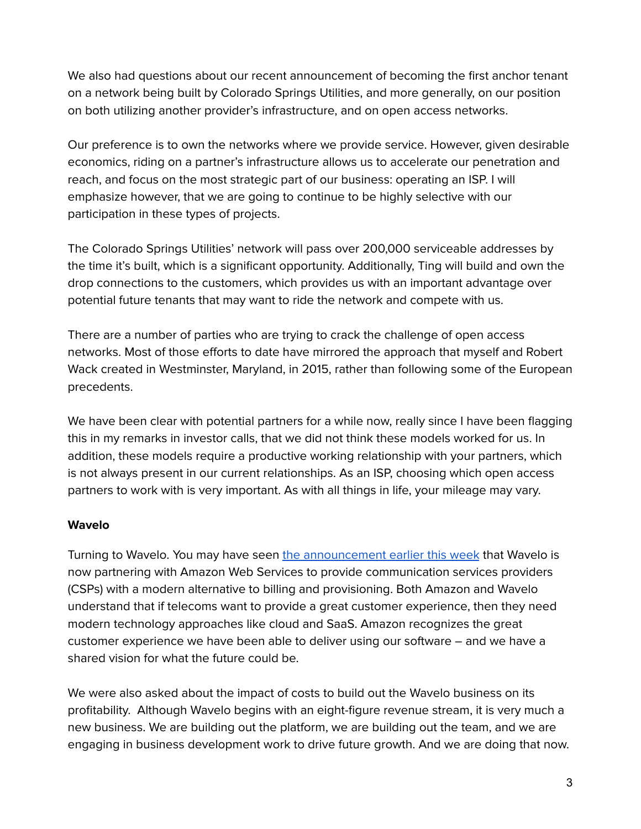We also had questions about our recent announcement of becoming the first anchor tenant on a network being built by Colorado Springs Utilities, and more generally, on our position on both utilizing another provider's infrastructure, and on open access networks.

Our preference is to own the networks where we provide service. However, given desirable economics, riding on a partner's infrastructure allows us to accelerate our penetration and reach, and focus on the most strategic part of our business: operating an ISP. I will emphasize however, that we are going to continue to be highly selective with our participation in these types of projects.

The Colorado Springs Utilities' network will pass over 200,000 serviceable addresses by the time it's built, which is a significant opportunity. Additionally, Ting will build and own the drop connections to the customers, which provides us with an important advantage over potential future tenants that may want to ride the network and compete with us.

There are a number of parties who are trying to crack the challenge of open access networks. Most of those efforts to date have mirrored the approach that myself and Robert Wack created in Westminster, Maryland, in 2015, rather than following some of the European precedents.

We have been clear with potential partners for a while now, really since I have been flagging this in my remarks in investor calls, that we did not think these models worked for us. In addition, these models require a productive working relationship with your partners, which is not always present in our current relationships. As an ISP, choosing which open access partners to work with is very important. As with all things in life, your mileage may vary.

#### **Wavelo**

Turning to Wavelo. You may have seen the [announcement](https://www.prnewswire.com/news-releases/wavelo-works-with-aws-to-propel-csp-growth-through-purpose-built-cloud-based-software-301490041.html) earlier this week that Wavelo is now partnering with Amazon Web Services to provide communication services providers (CSPs) with a modern alternative to billing and provisioning. Both Amazon and Wavelo understand that if telecoms want to provide a great customer experience, then they need modern technology approaches like cloud and SaaS. Amazon recognizes the great customer experience we have been able to deliver using our software – and we have a shared vision for what the future could be.

We were also asked about the impact of costs to build out the Wavelo business on its profitability. Although Wavelo begins with an eight-figure revenue stream, it is very much a new business. We are building out the platform, we are building out the team, and we are engaging in business development work to drive future growth. And we are doing that now.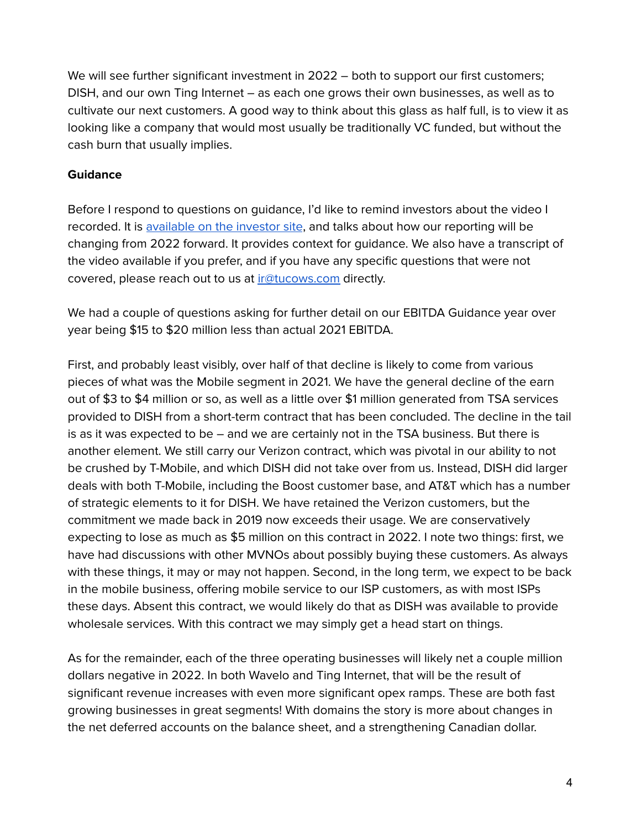We will see further significant investment in 2022 – both to support our first customers; DISH, and our own Ting Internet – as each one grows their own businesses, as well as to cultivate our next customers. A good way to think about this glass as half full, is to view it as looking like a company that would most usually be traditionally VC funded, but without the cash burn that usually implies.

#### **Guidance**

Before I respond to questions on guidance, I'd like to remind investors about the video I recorded. It is [available](https://vimeo.com/675592141/6416c98c10) on the investor site, and talks about how our reporting will be changing from 2022 forward. It provides context for guidance. We also have a transcript of the video available if you prefer, and if you have any specific questions that were not covered, please reach out to us at [ir@tucows.com](mailto:ir@tucows.com) directly.

We had a couple of questions asking for further detail on our EBITDA Guidance year over year being \$15 to \$20 million less than actual 2021 EBITDA.

First, and probably least visibly, over half of that decline is likely to come from various pieces of what was the Mobile segment in 2021. We have the general decline of the earn out of \$3 to \$4 million or so, as well as a little over \$1 million generated from TSA services provided to DISH from a short-term contract that has been concluded. The decline in the tail is as it was expected to be – and we are certainly not in the TSA business. But there is another element. We still carry our Verizon contract, which was pivotal in our ability to not be crushed by T-Mobile, and which DISH did not take over from us. Instead, DISH did larger deals with both T-Mobile, including the Boost customer base, and AT&T which has a number of strategic elements to it for DISH. We have retained the Verizon customers, but the commitment we made back in 2019 now exceeds their usage. We are conservatively expecting to lose as much as \$5 million on this contract in 2022. I note two things: first, we have had discussions with other MVNOs about possibly buying these customers. As always with these things, it may or may not happen. Second, in the long term, we expect to be back in the mobile business, offering mobile service to our ISP customers, as with most ISPs these days. Absent this contract, we would likely do that as DISH was available to provide wholesale services. With this contract we may simply get a head start on things.

As for the remainder, each of the three operating businesses will likely net a couple million dollars negative in 2022. In both Wavelo and Ting Internet, that will be the result of significant revenue increases with even more significant opex ramps. These are both fast growing businesses in great segments! With domains the story is more about changes in the net deferred accounts on the balance sheet, and a strengthening Canadian dollar.